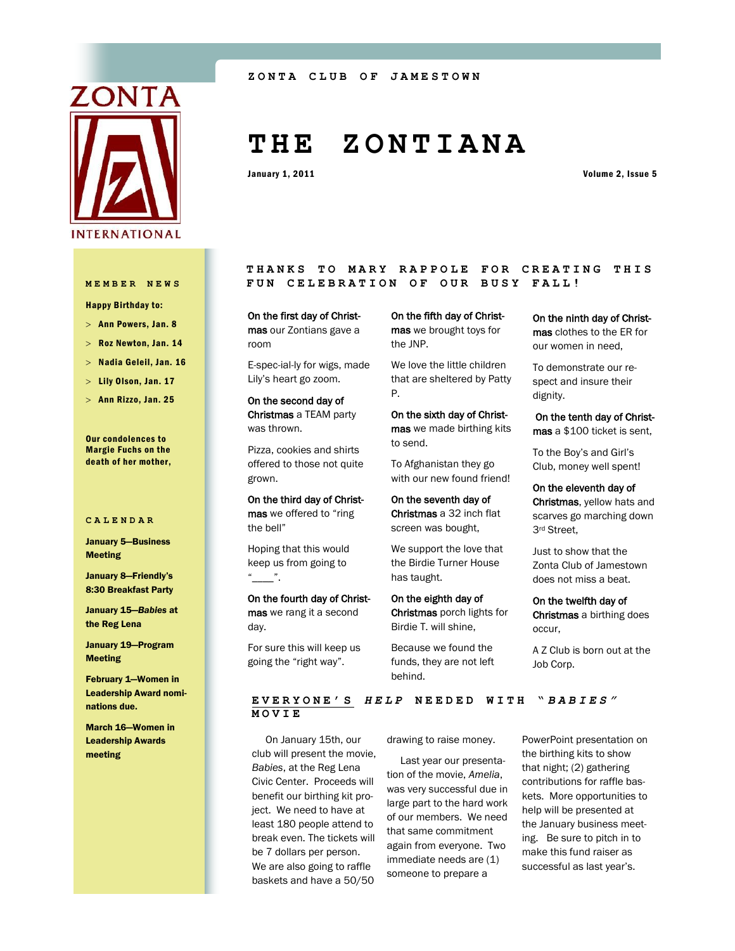

Happy Birthday to:

 $>$  Ann Powers, Jan. 8

Roz Newton, Jan. 14

 $>$  Nadia Geleil, Jan. 16

- Lily Olson, Jan. 17
- $>$  Ann Rizzo, Jan. 25

Our condolences to Margie Fuchs on the death of her mother,

#### **CALENDAR**

January 5—Business Meeting

January 8—Friendly's 8:30 Breakfast Party

January 15—*Babies* at the Reg Lena

January 19—Program Meeting

February 1—Women in Leadership Award nominations due.

March 16—Women in Leadership Awards meeting

#### **ZONTA CLUB OF JAMEST OWN**

# **T H E Z O N T I A N A**

January 1, 2011 **Volume 2, Issue 5** 

THANKS TO MARY RAPPOLE FOR CREATING THIS **MEMBER NEWS FUN CELEBRATION OF OUR BUSY FALL!**

> On the first day of Christmas our Zontians gave a room

E-spec-ial-ly for wigs, made Lily's heart go zoom.

On the second day of Christmas a TEAM party was thrown.

Pizza, cookies and shirts offered to those not quite grown.

On the third day of Christmas we offered to "ring the bell"

Hoping that this would keep us from going to  $\frac{u}{\sqrt{u}}$ .

On the fourth day of Christmas we rang it a second day.

For sure this will keep us going the "right way".

On the fifth day of Christmas we brought toys for the JNP.

We love the little children that are sheltered by Patty P.

On the sixth day of Christmas we made birthing kits to send.

To Afghanistan they go with our new found friend!

On the seventh day of Christmas a 32 inch flat screen was bought,

We support the love that the Birdie Turner House has taught.

On the eighth day of Christmas porch lights for Birdie T. will shine,

funds, they are not left behind.

**EVERYONE'S** *H E L P* **N E E D E D W I T H "** *BABIES"* **MOVIE**

 On January 15th, our club will present the movie, *Babies*, at the Reg Lena Civic Center. Proceeds will benefit our birthing kit project. We need to have at least 180 people attend to break even. The tickets will be 7 dollars per person. We are also going to raffle baskets and have a 50/50

drawing to raise money.

 Last year our presentation of the movie, *Amelia*, was very successful due in large part to the hard work of our members. We need that same commitment again from everyone. Two immediate needs are (1) someone to prepare a

PowerPoint presentation on the birthing kits to show that night; (2) gathering contributions for raffle baskets. More opportunities to help will be presented at the January business meeting. Be sure to pitch in to make this fund raiser as successful as last year's.

occur, Because we found the

Christmas, yellow hats and scarves go marching down 3rd Street,

Just to show that the Zonta Club of Jamestown does not miss a beat.

On the ninth day of Christmas clothes to the ER for our women in need, To demonstrate our respect and insure their

On the tenth day of Christmas a \$100 ticket is sent, To the Boy's and Girl's Club, money well spent! On the eleventh day of

dignity.

On the twelfth day of Christmas a birthing does

A Z Club is born out at the

Job Corp.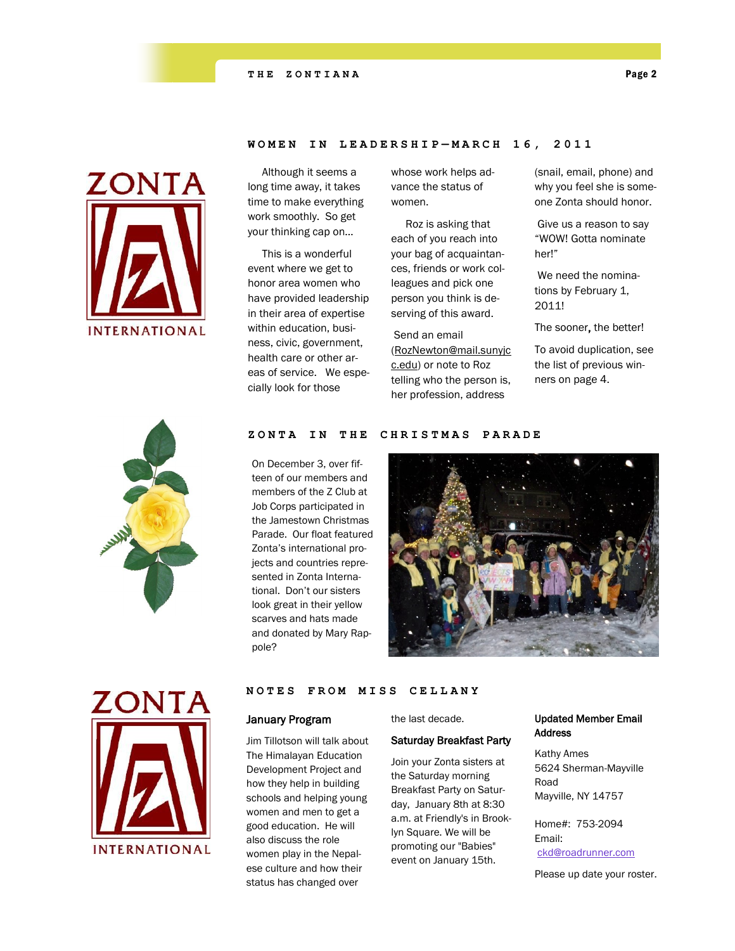

 Although it seems a long time away, it takes time to make everything work smoothly. So get your thinking cap on…

 This is a wonderful event where we get to honor area women who have provided leadership in their area of expertise within education, business, civic, government, health care or other areas of service. We especially look for those

whose work helps advance the status of women.

**WOMEN IN LEADERSHIP — M A R C H 1 6 , 2 0 1 1**

 Roz is asking that each of you reach into your bag of acquaintances, friends or work colleagues and pick one person you think is deserving of this award.

Send an email ([RozNewton@mail.sunyjc](mailto:RozNewton@mail.sunyjcc.edu) [c.edu\)](mailto:RozNewton@mail.sunyjcc.edu) or note to Roz telling who the person is, her profession, address

(snail, email, phone) and why you feel she is someone Zonta should honor.

Give us a reason to say "WOW! Gotta nominate her!"

We need the nominations by February 1, 2011!

The sooner, the better!

To avoid duplication, see the list of previous winners on page 4.



#### **ZONTA IN THE CHRISTMAS PARADE**

On December 3, over fifteen of our members and members of the Z Club at Job Corps participated in the Jamestown Christmas Parade. Our float featured Zonta's international projects and countries represented in Zonta International. Don't our sisters look great in their yellow scarves and hats made and donated by Mary Rappole?





#### **NOTES FROM MISS CELL ANY**

#### January Program

Jim Tillotson will talk about The Himalayan Education Development Project and how they help in building schools and helping young women and men to get a good education. He will also discuss the role women play in the Nepalese culture and how their status has changed over

the last decade.

#### Saturday Breakfast Party

Join your Zonta sisters at the Saturday morning Breakfast Party on Saturday, January 8th at 8:30 a.m. at Friendly's in Brooklyn Square. We will be promoting our "Babies" event on January 15th.

### Updated Member Email Address

Kathy Ames 5624 Sherman-Mayville Road Mayville, NY 14757

Home#: 753-2094 Email: [ckd@roadrunner.com](mailto:ckd@roadrunner.com)

Please up date your roster.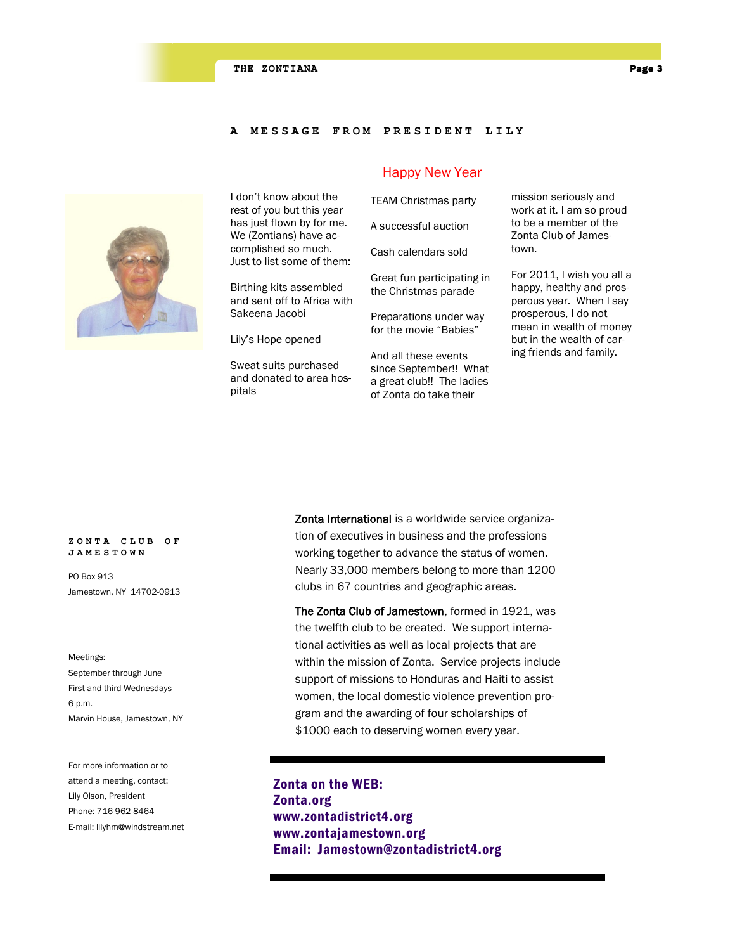#### **A MESSAGE FROM PRESI D E N T L I L Y**



I don't know about the rest of you but this year has just flown by for me. We (Zontians) have accomplished so much. Just to list some of them:

Birthing kits assembled and sent off to Africa with Sakeena Jacobi

Lily's Hope opened

Sweat suits purchased and donated to area hospitals

#### Happy New Year

TEAM Christmas party A successful auction Cash calendars sold

Great fun participating in the Christmas parade

Preparations under way for the movie "Babies"

And all these events since September!! What a great club!! The ladies of Zonta do take their

mission seriously and work at it. I am so proud to be a member of the Zonta Club of Jamestown.

For 2011, I wish you all a happy, healthy and prosperous year. When I say prosperous, I do not mean in wealth of money but in the wealth of caring friends and family.

#### **ZONTA CLUB OF JAMESTOWN**

PO Box 913 Jamestown, NY 14702-0913

Meetings: September through June First and third Wednesdays 6 p.m. Marvin House, Jamestown, NY

For more information or to attend a meeting, contact: Lily Olson, President Phone: 716-962-8464 E-mail: lilyhm@windstream.net Zonta International is a worldwide service organization of executives in business and the professions working together to advance the status of women. Nearly 33,000 members belong to more than 1200 clubs in 67 countries and geographic areas.

The Zonta Club of Jamestown, formed in 1921, was the twelfth club to be created. We support international activities as well as local projects that are within the mission of Zonta. Service projects include support of missions to Honduras and Haiti to assist women, the local domestic violence prevention program and the awarding of four scholarships of \$1000 each to deserving women every year.

Zonta on the WEB: Zonta.org www.zontadistrict4.org www.zontajamestown.org Email: Jamestown@zontadistrict4.org